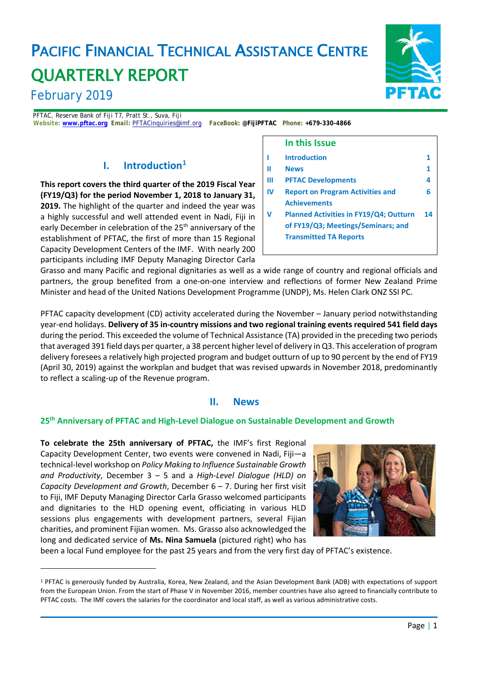# PACIFIC FINANCIAL TECHNICAL ASSISTANCE CENTRE QUARTERLY REPORT

# February 2019

l

PFTAC, Reserve Bank of Fiji T7, Pratt St., Suva, Fiji *Website:* **[www.pftac.org](http://www.pftac.org/)** *Email:* [PFTACinquiries@imf.org](mailto:PFTACinquiries@imf.org)*FaceBook***: @FijiPFTAC** *Phone:* **+679-330-4866**

### **I. Introduction[1](#page-0-0)**

**This report covers the third quarter of the 2019 Fiscal Year (FY19/Q3) for the period November 1, 2018 to January 31, 2019.** The highlight of the quarter and indeed the year was a highly successful and well attended event in Nadi, Fiji in early December in celebration of the 25<sup>th</sup> anniversary of the establishment of PFTAC, the first of more than 15 Regional Capacity Development Centers of the IMF. With nearly 200 participants including IMF Deputy Managing Director Carla



#### **In this Issue I Introduction 1 II News 1 III PFTAC Developments 4 IV Report on Program Activities and Achievements 6 V Planned Activities in FY19/Q4; Outturn of FY19/Q3; Meetings/Seminars; and Transmitted TA Reports 14**

Grasso and many Pacific and regional dignitaries as well as a wide range of country and regional officials and partners, the group benefited from a one-on-one interview and reflections of former New Zealand Prime Minister and head of the United Nations Development Programme (UNDP), Ms. Helen Clark ONZ SSI PC.

PFTAC capacity development (CD) activity accelerated during the November – January period notwithstanding year-end holidays. **Delivery of 35 in-country missions and two regional training events required 541 field days** during the period. This exceeded the volume of Technical Assistance (TA) provided in the preceding two periods that averaged 391 field days per quarter, a 38 percent higher level of delivery in Q3. This acceleration of program delivery foresees a relatively high projected program and budget outturn of up to 90 percent by the end of FY19 (April 30, 2019) against the workplan and budget that was revised upwards in November 2018, predominantly to reflect a scaling-up of the Revenue program.

#### **II. News**

#### **25th Anniversary of PFTAC and High-Level Dialogue on Sustainable Development and Growth**

**To celebrate the 25th anniversary of PFTAC,** the IMF's first Regional Capacity Development Center, two events were convened in Nadi, Fiji—a technical-level workshop on *Policy Making to Influence Sustainable Growth and Productivity*, December 3 – 5 and a *High-Level Dialogue (HLD) on Capacity Development and Growth*, December 6 – 7. During her first visit to Fiji, IMF Deputy Managing Director Carla Grasso welcomed participants and dignitaries to the HLD opening event, officiating in various HLD sessions plus engagements with development partners, several Fijian charities, and prominent Fijian women. Ms. Grasso also acknowledged the long and dedicated service of **Ms. Nina Samuela** (pictured right) who has



been a local Fund employee for the past 25 years and from the very first day of PFTAC's existence.

<span id="page-0-0"></span><sup>1</sup> PFTAC is generously funded by Australia, Korea, New Zealand, and the Asian Development Bank (ADB) with expectations of support from the European Union. From the start of Phase V in November 2016, member countries have also agreed to financially contribute to PFTAC costs. The IMF covers the salaries for the coordinator and local staff, as well as various administrative costs.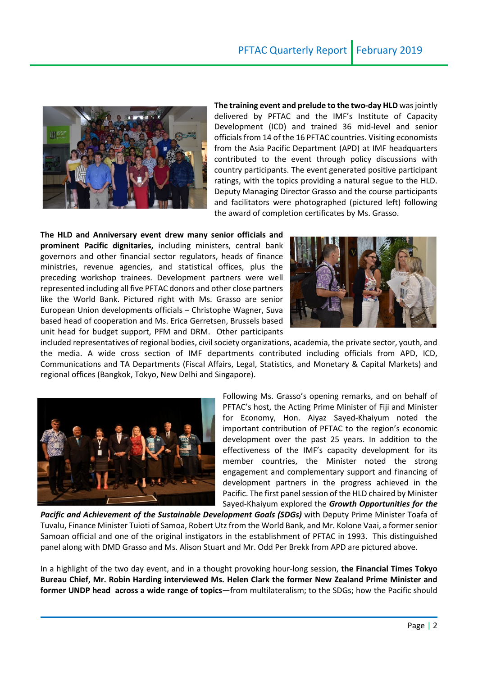

**The training event and prelude to the two-day HLD** was jointly delivered by PFTAC and the IMF's Institute of Capacity Development (ICD) and trained 36 mid-level and senior officials from 14 of the 16 PFTAC countries. Visiting economists from the Asia Pacific Department (APD) at IMF headquarters contributed to the event through policy discussions with country participants. The event generated positive participant ratings, with the topics providing a natural segue to the HLD. Deputy Managing Director Grasso and the course participants and facilitators were photographed (pictured left) following the award of completion certificates by Ms. Grasso.

**The HLD and Anniversary event drew many senior officials and prominent Pacific dignitaries,** including ministers, central bank governors and other financial sector regulators, heads of finance ministries, revenue agencies, and statistical offices, plus the preceding workshop trainees. Development partners were well represented including all five PFTAC donors and other close partners like the World Bank. Pictured right with Ms. Grasso are senior European Union developments officials – Christophe Wagner, Suva based head of cooperation and Ms. Erica Gerretsen, Brussels based unit head for budget support, PFM and DRM. Other participants



included representatives of regional bodies, civil society organizations, academia, the private sector, youth, and the media. A wide cross section of IMF departments contributed including officials from APD, ICD, Communications and TA Departments (Fiscal Affairs, Legal, Statistics, and Monetary & Capital Markets) and regional offices (Bangkok, Tokyo, New Delhi and Singapore).



Following Ms. Grasso's opening remarks, and on behalf of PFTAC's host, the Acting Prime Minister of Fiji and Minister for Economy, Hon. Aiyaz Sayed-Khaiyum noted the important contribution of PFTAC to the region's economic development over the past 25 years. In addition to the effectiveness of the IMF's capacity development for its member countries, the Minister noted the strong engagement and complementary support and financing of development partners in the progress achieved in the Pacific. The first panel session of the HLD chaired by Minister Sayed-Khaiyum explored the *Growth Opportunities for the* 

*Pacific and Achievement of the Sustainable Development Goals (SDGs)* with Deputy Prime Minister Toafa of Tuvalu, Finance Minister Tuioti of Samoa, Robert Utz from the World Bank, and Mr. Kolone Vaai, a former senior Samoan official and one of the original instigators in the establishment of PFTAC in 1993. This distinguished panel along with DMD Grasso and Ms. Alison Stuart and Mr. Odd Per Brekk from APD are pictured above.

In a highlight of the two day event, and in a thought provoking hour-long session, **the Financial Times Tokyo Bureau Chief, Mr. Robin Harding interviewed Ms. Helen Clark the former New Zealand Prime Minister and former UNDP head across a wide range of topics**—from multilateralism; to the SDGs; how the Pacific should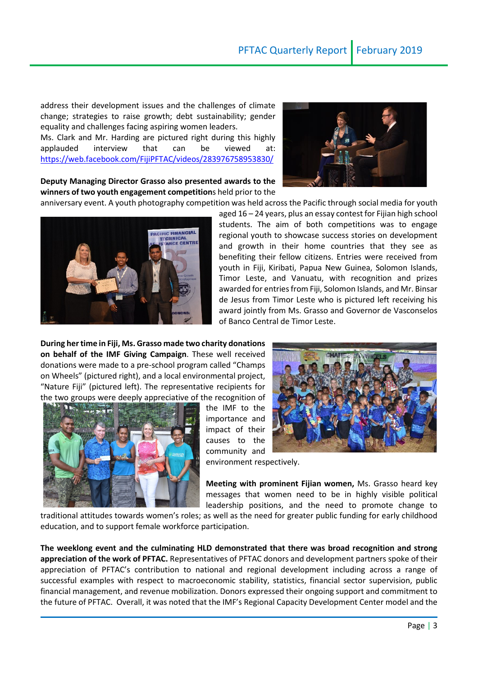aged 16 – 24 years, plus an essay contest for Fijian high school students. The aim of both competitions was to engage

address their development issues and the challenges of climate change; strategies to raise growth; debt sustainability; gender equality and challenges facing aspiring women leaders.

Ms. Clark and Mr. Harding are pictured right during this highly applauded interview that can be viewed at: <https://web.facebook.com/FijiPFTAC/videos/283976758953830/>

**Deputy Managing Director Grasso also presented awards to the winners of two youth engagement competition**s held prior to the



regional youth to showcase success stories on development and growth in their home countries that they see as benefiting their fellow citizens. Entries were received from youth in Fiji, Kiribati, Papua New Guinea, Solomon Islands, Timor Leste, and Vanuatu, with recognition and prizes awarded for entries from Fiji, Solomon Islands, and Mr. Binsar de Jesus from Timor Leste who is pictured left receiving his award jointly from Ms. Grasso and Governor de Vasconselos of Banco Central de Timor Leste. **During her time in Fiji, Ms. Grasso made two charity donations on behalf of the IMF Giving Campaign**. These well received

donations were made to a pre-school program called "Champs on Wheels" (pictured right), and a local environmental project, "Nature Fiji" (pictured left). The representative recipients for the two groups were deeply appreciative of the recognition of

the IMF to the importance and impact of their causes to the community and

environment respectively.

**Meeting with prominent Fijian women,** Ms. Grasso heard key messages that women need to be in highly visible political leadership positions, and the need to promote change to

traditional attitudes towards women's roles; as well as the need for greater public funding for early childhood education, and to support female workforce participation.

**The weeklong event and the culminating HLD demonstrated that there was broad recognition and strong appreciation of the work of PFTAC.** Representatives of PFTAC donors and development partners spoke of their appreciation of PFTAC's contribution to national and regional development including across a range of successful examples with respect to macroeconomic stability, statistics, financial sector supervision, public financial management, and revenue mobilization. Donors expressed their ongoing support and commitment to the future of PFTAC. Overall, it was noted that the IMF's Regional Capacity Development Center model and the



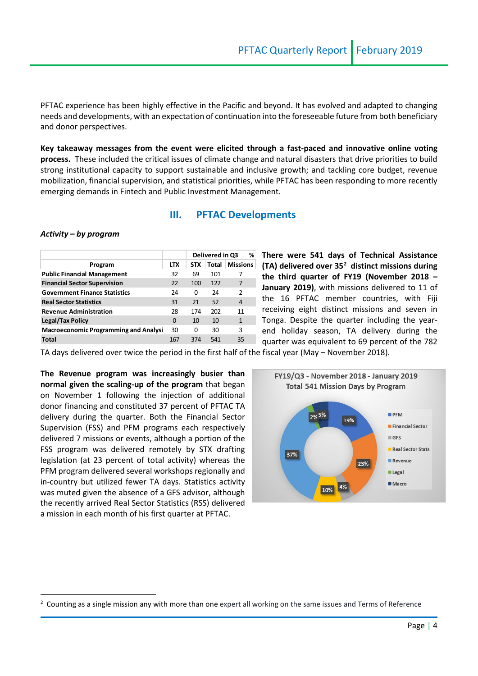PFTAC experience has been highly effective in the Pacific and beyond. It has evolved and adapted to changing needs and developments, with an expectation of continuation into the foreseeable future from both beneficiary and donor perspectives.

**Key takeaway messages from the event were elicited through a fast-paced and innovative online voting process.** These included the critical issues of climate change and natural disasters that drive priorities to build strong institutional capacity to support sustainable and inclusive growth; and tackling core budget, revenue mobilization, financial supervision, and statistical priorities, while PFTAC has been responding to more recently emerging demands in Fintech and Public Investment Management.

#### **III. PFTAC Developments**

#### *Activity – by program*

 $\overline{a}$ 

|                                              |            |            | Delivered in Q3 |                 |  |  |
|----------------------------------------------|------------|------------|-----------------|-----------------|--|--|
| Program                                      | <b>LTX</b> | <b>STX</b> | Total           | <b>Missions</b> |  |  |
| <b>Public Financial Management</b>           | 32         | 69         | 101             |                 |  |  |
| <b>Financial Sector Supervision</b>          | 22         | 100        | 122             | 7               |  |  |
| <b>Government Finance Statistics</b>         | 24         | 0          | 24              | $\mathcal{P}$   |  |  |
| <b>Real Sector Statistics</b>                | 31         | 21         | 52              | 4               |  |  |
| <b>Revenue Administration</b>                | 28         | 174        | 202             | 11              |  |  |
| <b>Legal/Tax Policy</b>                      | 0          | 10         | 10              | $\mathbf{1}$    |  |  |
| <b>Macroeconomic Programming and Analysi</b> | 30         | 0          | 30              | 3               |  |  |
| Total                                        | 167        | 374        | 541             | 35              |  |  |

**There were 541 days of Technical Assistance (TA) delivered over 35[2](#page-3-0) distinct missions during the third quarter of FY19 (November 2018 – January 2019)**, with missions delivered to 11 of the 16 PFTAC member countries, with Fiji receiving eight distinct missions and seven in Tonga. Despite the quarter including the yearend holiday season, TA delivery during the quarter was equivalent to 69 percent of the 782

TA days delivered over twice the period in the first half of the fiscal year (May – November 2018).

**The Revenue program was increasingly busier than normal given the scaling-up of the program** that began on November 1 following the injection of additional donor financing and constituted 37 percent of PFTAC TA delivery during the quarter. Both the Financial Sector Supervision (FSS) and PFM programs each respectively delivered 7 missions or events, although a portion of the FSS program was delivered remotely by STX drafting legislation (at 23 percent of total activity) whereas the PFM program delivered several workshops regionally and in-country but utilized fewer TA days. Statistics activity was muted given the absence of a GFS advisor, although the recently arrived Real Sector Statistics (RSS) delivered a mission in each month of his first quarter at PFTAC.



<span id="page-3-0"></span> $2$  Counting as a single mission any with more than one expert all working on the same issues and Terms of Reference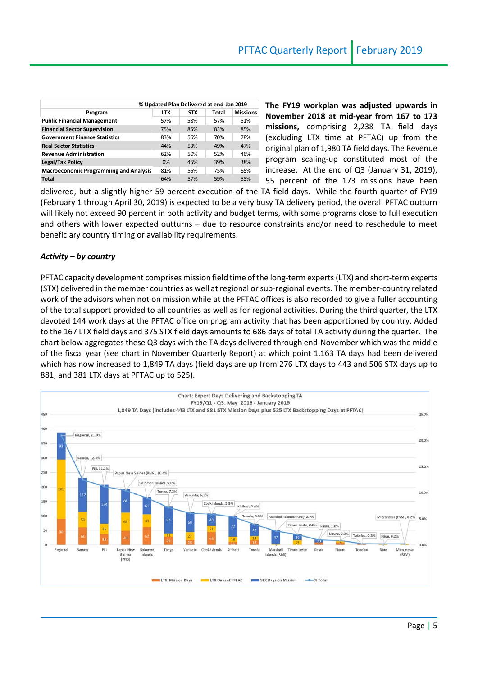| % Updated Plan Delivered at end-Jan 2019 |            |       |                 |  |  |  |
|------------------------------------------|------------|-------|-----------------|--|--|--|
| <b>LTX</b>                               | <b>STX</b> | Total | <b>Missions</b> |  |  |  |
| 57%                                      | 58%        | 57%   | 51%             |  |  |  |
| 75%                                      | 85%        | 83%   | 85%             |  |  |  |
| 83%                                      | 56%        | 70%   | 78%             |  |  |  |
| 44%                                      | 53%        | 49%   | 47%             |  |  |  |
| 62%                                      | 50%        | 52%   | 46%             |  |  |  |
| 0%                                       | 45%        | 39%   | 38%             |  |  |  |
| 81%                                      | 55%        | 75%   | 65%             |  |  |  |
| 64%                                      | 57%        | 59%   | 55%             |  |  |  |
|                                          |            |       |                 |  |  |  |

**The FY19 workplan was adjusted upwards in November 2018 at mid-year from 167 to 173 missions,** comprising 2,238 TA field days (excluding LTX time at PFTAC) up from the original plan of 1,980 TA field days. The Revenue program scaling-up constituted most of the increase. At the end of Q3 (January 31, 2019), 55 percent of the 173 missions have been

delivered, but a slightly higher 59 percent execution of the TA field days. While the fourth quarter of FY19 (February 1 through April 30, 2019) is expected to be a very busy TA delivery period, the overall PFTAC outturn will likely not exceed 90 percent in both activity and budget terms, with some programs close to full execution and others with lower expected outturns – due to resource constraints and/or need to reschedule to meet beneficiary country timing or availability requirements.

#### *Activity – by country*

PFTAC capacity development comprises mission field time of the long-term experts (LTX) and short-term experts (STX) delivered in the member countries as well at regional or sub-regional events. The member-country related work of the advisors when not on mission while at the PFTAC offices is also recorded to give a fuller accounting of the total support provided to all countries as well as for regional activities. During the third quarter, the LTX devoted 144 work days at the PFTAC office on program activity that has been apportioned by country. Added to the 167 LTX field days and 375 STX field days amounts to 686 days of total TA activity during the quarter. The chart below aggregates these Q3 days with the TA days delivered through end-November which was the middle of the fiscal year (see chart in November Quarterly Report) at which point 1,163 TA days had been delivered which has now increased to 1,849 TA days (field days are up from 276 LTX days to 443 and 506 STX days up to 881, and 381 LTX days at PFTAC up to 525).

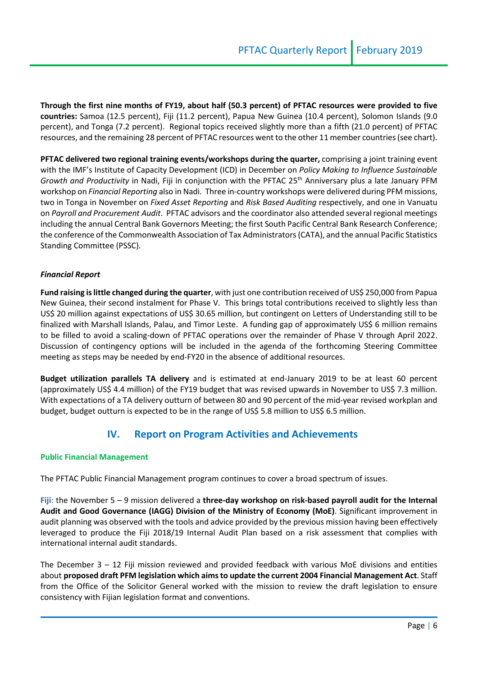**Through the first nine months of FY19, about half (50.3 percent) of PFTAC resources were provided to five countries:** Samoa (12.5 percent), Fiji (11.2 percent), Papua New Guinea (10.4 percent), Solomon Islands (9.0 percent), and Tonga (7.2 percent). Regional topics received slightly more than a fifth (21.0 percent) of PFTAC resources, and the remaining 28 percent of PFTAC resources went to the other 11 member countries (see chart).

**PFTAC delivered two regional training events/workshops during the quarter,** comprising a joint training event with the IMF's Institute of Capacity Development (ICD) in December on *Policy Making to Influence Sustainable Growth and Productivity* in Nadi, Fiji in conjunction with the PFTAC 25<sup>th</sup> Anniversary plus a late January PFM workshop on *Financial Reporting* also in Nadi. Three in-country workshops were delivered during PFM missions, two in Tonga in November on *Fixed Asset Reporting* and *Risk Based Auditing* respectively, and one in Vanuatu on *Payroll and Procurement Audit*. PFTAC advisors and the coordinator also attended several regional meetings including the annual Central Bank Governors Meeting; the first South Pacific Central Bank Research Conference; the conference of the Commonwealth Association of Tax Administrators (CATA), and the annual Pacific Statistics Standing Committee (PSSC).

#### *Financial Report*

**Fund raising is little changed during the quarter**, with just one contribution received of US\$ 250,000 from Papua New Guinea, their second instalment for Phase V. This brings total contributions received to slightly less than US\$ 20 million against expectations of US\$ 30.65 million, but contingent on Letters of Understanding still to be finalized with Marshall Islands, Palau, and Timor Leste. A funding gap of approximately US\$ 6 million remains to be filled to avoid a scaling-down of PFTAC operations over the remainder of Phase V through April 2022. Discussion of contingency options will be included in the agenda of the forthcoming Steering Committee meeting as steps may be needed by end-FY20 in the absence of additional resources.

**Budget utilization parallels TA delivery** and is estimated at end-January 2019 to be at least 60 percent (approximately US\$ 4.4 million) of the FY19 budget that was revised upwards in November to US\$ 7.3 million. With expectations of a TA delivery outturn of between 80 and 90 percent of the mid-year revised workplan and budget, budget outturn is expected to be in the range of US\$ 5.8 million to US\$ 6.5 million.

### **IV. Report on Program Activities and Achievements**

#### **Public Financial Management**

The PFTAC Public Financial Management program continues to cover a broad spectrum of issues.

**Fiji:** the November 5 – 9 mission delivered a **three-day workshop on risk-based payroll audit for the Internal Audit and Good Governance (IAGG) Division of the Ministry of Economy (MoE)**. Significant improvement in audit planning was observed with the tools and advice provided by the previous mission having been effectively leveraged to produce the Fiji 2018/19 Internal Audit Plan based on a risk assessment that complies with international internal audit standards.

The December 3 – 12 Fiji mission reviewed and provided feedback with various MoE divisions and entities about **proposed draft PFM legislation which aims to update the current 2004 Financial Management Act**. Staff from the Office of the Solicitor General worked with the mission to review the draft legislation to ensure consistency with Fijian legislation format and conventions.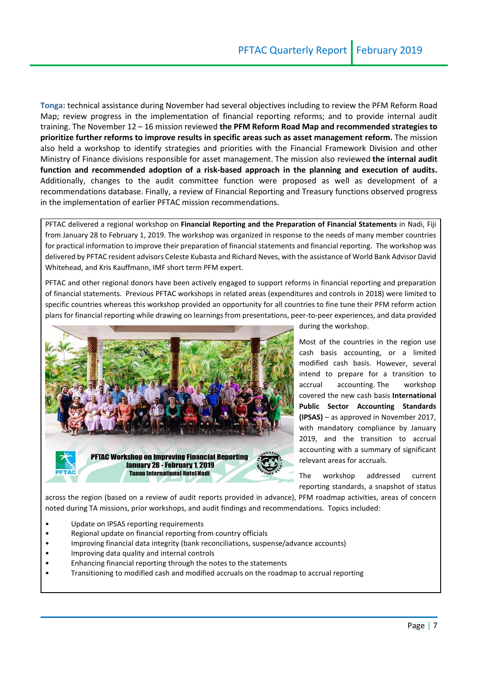**Tonga:** technical assistance during November had several objectives including to review the PFM Reform Road Map; review progress in the implementation of financial reporting reforms; and to provide internal audit training. The November 12 – 16 mission reviewed **the PFM Reform Road Map and recommended strategies to prioritize further reforms to improve results in specific areas such as asset management reform.** The mission also held a workshop to identify strategies and priorities with the Financial Framework Division and other Ministry of Finance divisions responsible for asset management. The mission also reviewed **the internal audit function and recommended adoption of a risk-based approach in the planning and execution of audits.**  Additionally, changes to the audit committee function were proposed as well as development of a recommendations database. Finally, a review of Financial Reporting and Treasury functions observed progress in the implementation of earlier PFTAC mission recommendations.

PFTAC delivered a regional workshop on **Financial Reporting and the Preparation of Financial Statements** in Nadi, Fiji from January 28 to February 1, 2019. The workshop was organized in response to the needs of many member countries for practical information to improve their preparation of financial statements and financial reporting. The workshop was delivered by PFTAC resident advisors Celeste Kubasta and Richard Neves, with the assistance of World Bank Advisor David Whitehead, and Kris Kauffmann, IMF short term PFM expert.

PFTAC and other regional donors have been actively engaged to support reforms in financial reporting and preparation of financial statements. Previous PFTAC workshops in related areas (expenditures and controls in 2018) were limited to specific countries whereas this workshop provided an opportunity for all countries to fine tune their PFM reform action plans for financial reporting while drawing on learnings from presentations, peer-to-peer experiences, and data provided



during the workshop.

Most of the countries in the region use cash basis accounting, or a limited modified cash basis. However, several intend to prepare for a transition to accrual accounting. The workshop covered the new cash basis **International Public Sector Accounting Standards (IPSAS)** – as approved in November 2017, with mandatory compliance by January 2019, and the transition to accrual accounting with a summary of significant relevant areas for accruals.

The workshop addressed current reporting standards, a snapshot of status

across the region (based on a review of audit reports provided in advance), PFM roadmap activities, areas of concern noted during TA missions, prior workshops, and audit findings and recommendations. Topics included:

- Update on IPSAS reporting requirements
- Regional update on financial reporting from country officials
- Improving financial data integrity (bank reconciliations, suspense/advance accounts)
- Improving data quality and internal controls
- Enhancing financial reporting through the notes to the statements
- Transitioning to modified cash and modified accruals on the roadmap to accrual reporting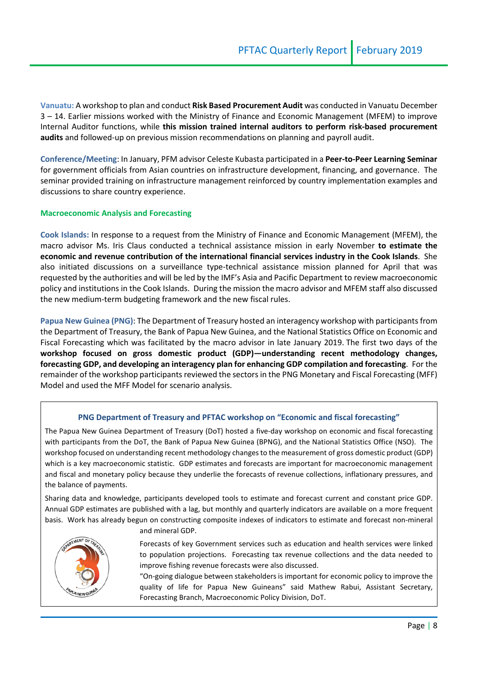**Vanuatu:** A workshop to plan and conduct **Risk Based Procurement Audit** was conducted in Vanuatu December 3 – 14. Earlier missions worked with the Ministry of Finance and Economic Management (MFEM) to improve Internal Auditor functions, while **this mission trained internal auditors to perform risk-based procurement audits** and followed-up on previous mission recommendations on planning and payroll audit.

**Conference/Meeting**: In January, PFM advisor Celeste Kubasta participated in a **Peer-to-Peer Learning Seminar** for government officials from Asian countries on infrastructure development, financing, and governance. The seminar provided training on infrastructure management reinforced by country implementation examples and discussions to share country experience.

#### **Macroeconomic Analysis and Forecasting**

**Cook Islands:** In response to a request from the Ministry of Finance and Economic Management (MFEM), the macro advisor Ms. Iris Claus conducted a technical assistance mission in early November **to estimate the economic and revenue contribution of the international financial services industry in the Cook Islands**. She also initiated discussions on a surveillance type-technical assistance mission planned for April that was requested by the authorities and will be led by the IMF's Asia and Pacific Department to review macroeconomic policy and institutions in the Cook Islands. During the mission the macro advisor and MFEM staff also discussed the new medium-term budgeting framework and the new fiscal rules.

**Papua New Guinea (PNG)**: The Department of Treasury hosted an interagency workshop with participants from the Department of Treasury, the Bank of Papua New Guinea, and the National Statistics Office on Economic and Fiscal Forecasting which was facilitated by the macro advisor in late January 2019. The first two days of the **workshop focused on gross domestic product (GDP)—understanding recent methodology changes, forecasting GDP, and developing an interagency plan for enhancing GDP compilation and forecasting**. For the remainder of the workshop participants reviewed the sectors in the PNG Monetary and Fiscal Forecasting (MFF) Model and used the MFF Model for scenario analysis.

#### **PNG Department of Treasury and PFTAC workshop on "Economic and fiscal forecasting"**

The Papua New Guinea Department of Treasury (DoT) hosted a five-day workshop on economic and fiscal forecasting with participants from the DoT, the Bank of Papua New Guinea (BPNG), and the National Statistics Office (NSO). The workshop focused on understanding recent methodology changes to the measurement of gross domestic product (GDP) which is a key macroeconomic statistic. GDP estimates and forecasts are important for macroeconomic management and fiscal and monetary policy because they underlie the forecasts of revenue collections, inflationary pressures, and the balance of payments.

Sharing data and knowledge, participants developed tools to estimate and forecast current and constant price GDP. Annual GDP estimates are published with a lag, but monthly and quarterly indicators are available on a more frequent basis. Work has already begun on constructing composite indexes of indicators to estimate and forecast non-mineral and mineral GDP.



Forecasts of key Government services such as education and health services were linked to population projections. Forecasting tax revenue collections and the data needed to improve fishing revenue forecasts were also discussed.

"On-going dialogue between stakeholders is important for economic policy to improve the quality of life for Papua New Guineans" said Mathew Rabui, Assistant Secretary, Forecasting Branch, Macroeconomic Policy Division, DoT.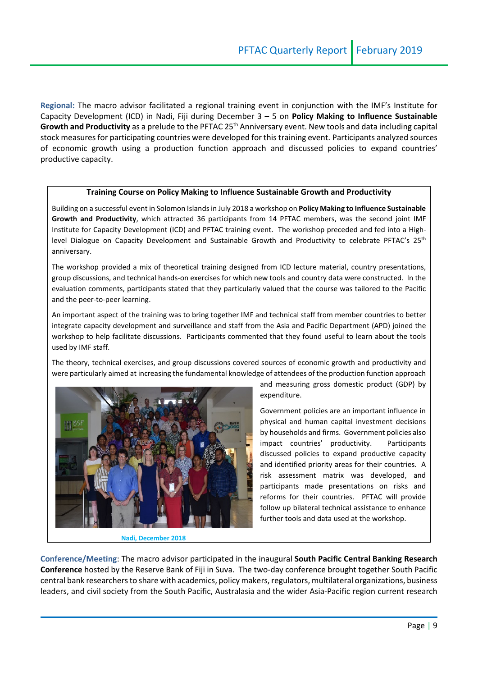**Regional:** The macro advisor facilitated a regional training event in conjunction with the IMF's Institute for Capacity Development (ICD) in Nadi, Fiji during December 3 – 5 on **Policy Making to Influence Sustainable**  Growth and Productivity as a prelude to the PFTAC 25<sup>th</sup> Anniversary event. New tools and data including capital stock measures for participating countries were developed for this training event. Participants analyzed sources of economic growth using a production function approach and discussed policies to expand countries' productive capacity.

#### **Training Course on Policy Making to Influence Sustainable Growth and Productivity**

Building on a successful event in Solomon Islands in July 2018 a workshop on **Policy Making to Influence Sustainable Growth and Productivity**, which attracted 36 participants from 14 PFTAC members, was the second joint IMF Institute for Capacity Development (ICD) and PFTAC training event. The workshop preceded and fed into a Highlevel Dialogue on Capacity Development and Sustainable Growth and Productivity to celebrate PFTAC's 25<sup>th</sup> anniversary.

The workshop provided a mix of theoretical training designed from ICD lecture material, country presentations, group discussions, and technical hands-on exercises for which new tools and country data were constructed. In the evaluation comments, participants stated that they particularly valued that the course was tailored to the Pacific and the peer-to-peer learning.

An important aspect of the training was to bring together IMF and technical staff from member countries to better integrate capacity development and surveillance and staff from the Asia and Pacific Department (APD) joined the workshop to help facilitate discussions. Participants commented that they found useful to learn about the tools used by IMF staff.

The theory, technical exercises, and group discussions covered sources of economic growth and productivity and were particularly aimed at increasing the fundamental knowledge of attendees of the production function approach



**Nadi, December 2018**

and measuring gross domestic product (GDP) by expenditure.

Government policies are an important influence in physical and human capital investment decisions by households and firms. Government policies also impact countries' productivity. Participants discussed policies to expand productive capacity and identified priority areas for their countries. A risk assessment matrix was developed, and participants made presentations on risks and reforms for their countries. PFTAC will provide follow up bilateral technical assistance to enhance further tools and data used at the workshop.

**Conference/Meeting**: The macro advisor participated in the inaugural **South Pacific Central Banking Research Conference** hosted by the Reserve Bank of Fiji in Suva. The two-day conference brought together South Pacific central bank researchers to share with academics, policy makers, regulators, multilateral organizations, business leaders, and civil society from the South Pacific, Australasia and the wider Asia-Pacific region current research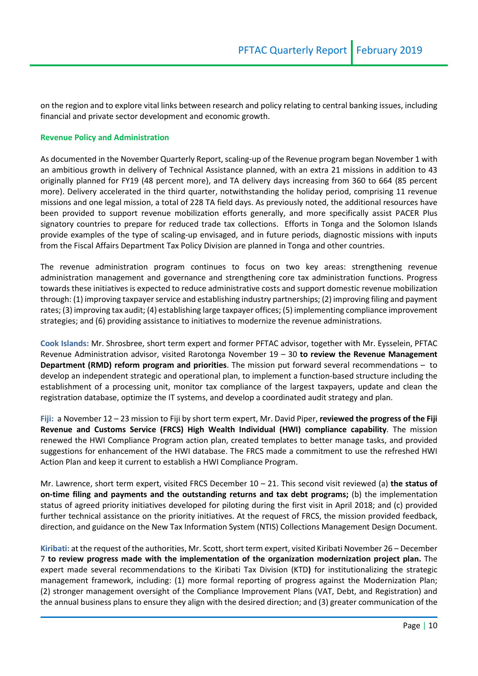on the region and to explore vital links between research and policy relating to central banking issues, including financial and private sector development and economic growth.

#### **Revenue Policy and Administration**

As documented in the November Quarterly Report, scaling-up of the Revenue program began November 1 with an ambitious growth in delivery of Technical Assistance planned, with an extra 21 missions in addition to 43 originally planned for FY19 (48 percent more), and TA delivery days increasing from 360 to 664 (85 percent more). Delivery accelerated in the third quarter, notwithstanding the holiday period, comprising 11 revenue missions and one legal mission, a total of 228 TA field days. As previously noted, the additional resources have been provided to support revenue mobilization efforts generally, and more specifically assist PACER Plus signatory countries to prepare for reduced trade tax collections. Efforts in Tonga and the Solomon Islands provide examples of the type of scaling-up envisaged, and in future periods, diagnostic missions with inputs from the Fiscal Affairs Department Tax Policy Division are planned in Tonga and other countries.

The revenue administration program continues to focus on two key areas: strengthening revenue administration management and governance and strengthening core tax administration functions. Progress towards these initiatives is expected to reduce administrative costs and support domestic revenue mobilization through: (1) improving taxpayer service and establishing industry partnerships; (2) improving filing and payment rates; (3) improving tax audit; (4) establishing large taxpayer offices; (5) implementing compliance improvement strategies; and (6) providing assistance to initiatives to modernize the revenue administrations.

**Cook Islands:** Mr. Shrosbree, short term expert and former PFTAC advisor, together with Mr. Eysselein, PFTAC Revenue Administration advisor, visited Rarotonga November 19 – 30 **to review the Revenue Management Department (RMD) reform program and priorities**. The mission put forward several recommendations – to develop an independent strategic and operational plan, to implement a function-based structure including the establishment of a processing unit, monitor tax compliance of the largest taxpayers, update and clean the registration database, optimize the IT systems, and develop a coordinated audit strategy and plan.

**Fiji:** a November 12 – 23 mission to Fiji by short term expert, Mr. David Piper, **reviewed the progress of the Fiji Revenue and Customs Service (FRCS) High Wealth Individual (HWI) compliance capability**. The mission renewed the HWI Compliance Program action plan, created templates to better manage tasks, and provided suggestions for enhancement of the HWI database. The FRCS made a commitment to use the refreshed HWI Action Plan and keep it current to establish a HWI Compliance Program.

Mr. Lawrence, short term expert, visited FRCS December 10 – 21. This second visit reviewed (a) **the status of on-time filing and payments and the outstanding returns and tax debt programs;** (b) the implementation status of agreed priority initiatives developed for piloting during the first visit in April 2018; and (c) provided further technical assistance on the priority initiatives. At the request of FRCS, the mission provided feedback, direction, and guidance on the New Tax Information System (NTIS) Collections Management Design Document.

**Kiribati:** at the request of the authorities, Mr. Scott, short term expert, visited Kiribati November 26 – December 7 **to review progress made with the implementation of the organization modernization project plan.** The expert made several recommendations to the Kiribati Tax Division (KTD**)** for institutionalizing the strategic management framework, including: (1) more formal reporting of progress against the Modernization Plan; (2) stronger management oversight of the Compliance Improvement Plans (VAT, Debt, and Registration) and the annual business plans to ensure they align with the desired direction; and (3) greater communication of the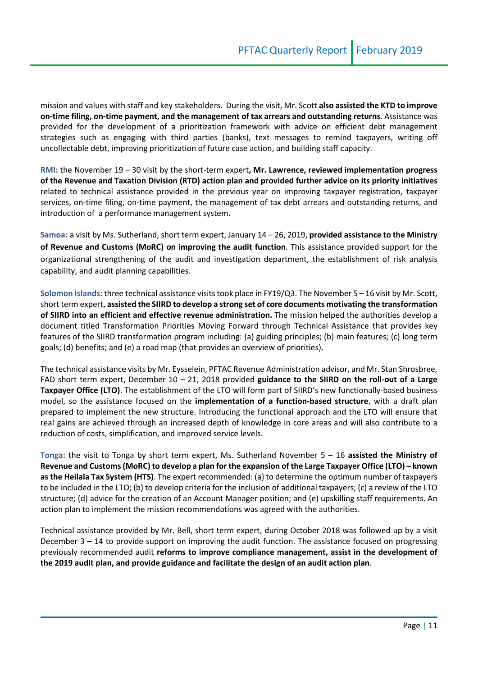mission and values with staff and key stakeholders. During the visit, Mr. Scott **also assisted the KTD to improve on-time filing, on-time payment, and the management of tax arrears and outstanding returns**. Assistance was provided for the development of a prioritization framework with advice on efficient debt management strategies such as engaging with third parties (banks), text messages to remind taxpayers, writing off uncollectable debt, improving prioritization of future case action, and building staff capacity.

**RMI:** the November 19 – 30 visit by the short-term expert**, Mr. Lawrence, reviewed implementation progress of the Revenue and Taxation Division (RTD) action plan and provided further advice on its priority initiatives**  related to technical assistance provided in the previous year on improving taxpayer registration, taxpayer services, on-time filing, on-time payment, the management of tax debt arrears and outstanding returns, and introduction of a performance management system.

**Samoa:** a visit by Ms. Sutherland, short term expert, January 14 – 26, 2019, **provided assistance to the Ministry of Revenue and Customs (MoRC) on improving the audit function**. This assistance provided support for the organizational strengthening of the audit and investigation department, the establishment of risk analysis capability, and audit planning capabilities.

**Solomon Islands:** three technical assistance visits took place in FY19/Q3. The November 5 – 16 visit by Mr. Scott, short term expert, **assisted the SIIRD to develop a strong set of core documents motivating the transformation of SIIRD into an efficient and effective revenue administration.** The mission helped the authorities develop a document titled Transformation Priorities Moving Forward through Technical Assistance that provides key features of the SIIRD transformation program including: (a) guiding principles; (b) main features; (c) long term goals; (d) benefits; and (e) a road map (that provides an overview of priorities).

The technical assistance visits by Mr. Eysselein, PFTAC Revenue Administration advisor, and Mr. Stan Shrosbree, FAD short term expert, December 10 – 21, 2018 provided **guidance to the SIIRD on the roll-out of a Large Taxpayer Office (LTO)**. The establishment of the LTO will form part of SIIRD's new functionally-based business model, so the assistance focused on the **implementation of a function-based structure**, with a draft plan prepared to implement the new structure. Introducing the functional approach and the LTO will ensure that real gains are achieved through an increased depth of knowledge in core areas and will also contribute to a reduction of costs, simplification, and improved service levels.

**Tonga:** the visit to Tonga by short term expert, Ms. Sutherland November 5 – 16 **assisted the Ministry of Revenue and Customs (MoRC) to develop a plan for the expansion of the Large Taxpayer Office (LTO) – known as the Heilala Tax System (HTS)**. The expert recommended: (a) to determine the optimum number of taxpayers to be included in the LTO; (b) to develop criteria for the inclusion of additional taxpayers; (c) a review of the LTO structure; (d) advice for the creation of an Account Manager position; and (e) upskilling staff requirements. An action plan to implement the mission recommendations was agreed with the authorities.

Technical assistance provided by Mr. Bell, short term expert, during October 2018 was followed up by a visit December  $3 - 14$  to provide support on improving the audit function. The assistance focused on progressing previously recommended audit **reforms to improve compliance management, assist in the development of the 2019 audit plan, and provide guidance and facilitate the design of an audit action plan**.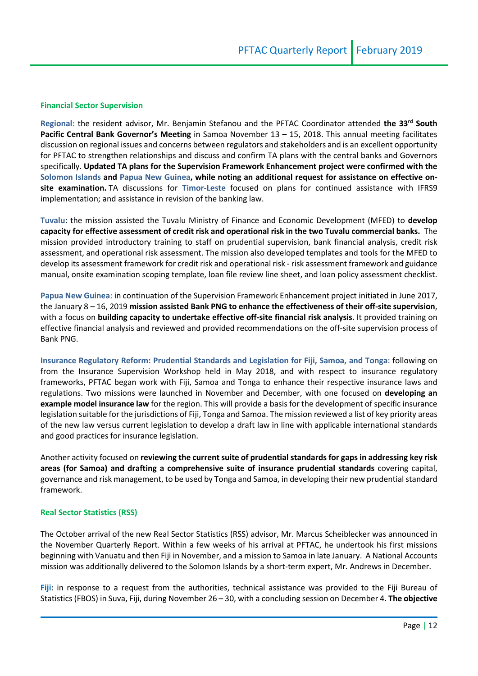#### **Financial Sector Supervision**

**Regional:** the resident advisor, Mr. Benjamin Stefanou and the PFTAC Coordinator attended **the 33rd South Pacific Central Bank Governor's Meeting** in Samoa November 13 – 15, 2018. This annual meeting facilitates discussion on regional issues and concerns between regulators and stakeholders and is an excellent opportunity for PFTAC to strengthen relationships and discuss and confirm TA plans with the central banks and Governors specifically. **Updated TA plans for the Supervision Framework Enhancement project were confirmed with the Solomon Islands and Papua New Guinea, while noting an additional request for assistance on effective onsite examination.** TA discussions for **Timor-Leste** focused on plans for continued assistance with IFRS9 implementation; and assistance in revision of the banking law.

**Tuvalu**: the mission assisted the Tuvalu Ministry of Finance and Economic Development (MFED) to **develop capacity for effective assessment of credit risk and operational risk in the two Tuvalu commercial banks.** The mission provided introductory training to staff on prudential supervision, bank financial analysis, credit risk assessment, and operational risk assessment. The mission also developed templates and tools for the MFED to develop its assessment framework for credit risk and operational risk - risk assessment framework and guidance manual, onsite examination scoping template, loan file review line sheet, and loan policy assessment checklist.

**Papua New Guinea**: in continuation of the Supervision Framework Enhancement project initiated in June 2017, the January 8 – 16, 2019 **mission assisted Bank PNG to enhance the effectiveness of their off-site supervision**, with a focus on **building capacity to undertake effective off-site financial risk analysis**. It provided training on effective financial analysis and reviewed and provided recommendations on the off-site supervision process of Bank PNG.

**Insurance Regulatory Reform: Prudential Standards and Legislation for Fiji, Samoa, and Tonga**: following on from the Insurance Supervision Workshop held in May 2018, and with respect to insurance regulatory frameworks, PFTAC began work with Fiji, Samoa and Tonga to enhance their respective insurance laws and regulations. Two missions were launched in November and December, with one focused on **developing an example model insurance law** for the region. This will provide a basis for the development of specific insurance legislation suitable for the jurisdictions of Fiji, Tonga and Samoa. The mission reviewed a list of key priority areas of the new law versus current legislation to develop a draft law in line with applicable international standards and good practices for insurance legislation.

Another activity focused on **reviewing the current suite of prudential standards for gaps in addressing key risk areas (for Samoa) and drafting a comprehensive suite of insurance prudential standards** covering capital, governance and risk management, to be used by Tonga and Samoa, in developing their new prudential standard framework.

#### **Real Sector Statistics (RSS)**

The October arrival of the new Real Sector Statistics (RSS) advisor, Mr. Marcus Scheiblecker was announced in the November Quarterly Report. Within a few weeks of his arrival at PFTAC, he undertook his first missions beginning with Vanuatu and then Fiji in November, and a mission to Samoa in late January. A National Accounts mission was additionally delivered to the Solomon Islands by a short-term expert, Mr. Andrews in December.

**Fiji**: in response to a request from the authorities, technical assistance was provided to the Fiji Bureau of Statistics (FBOS) in Suva, Fiji, during November 26 – 30, with a concluding session on December 4. **The objective**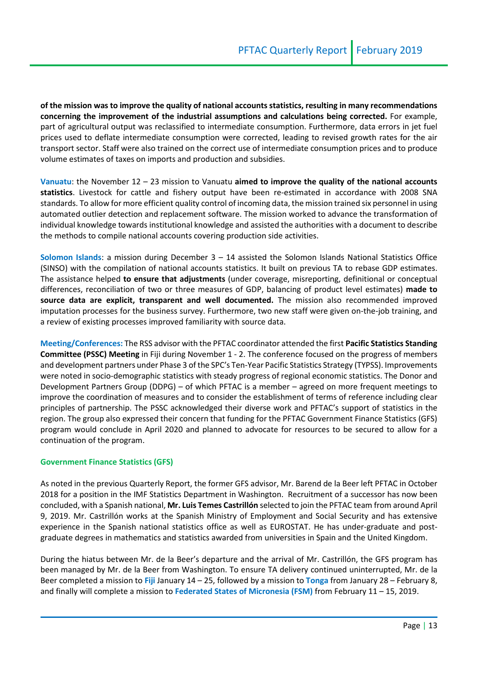**of the mission was to improve the quality of national accounts statistics, resulting in many recommendations concerning the improvement of the industrial assumptions and calculations being corrected.** For example, part of agricultural output was reclassified to intermediate consumption. Furthermore, data errors in jet fuel prices used to deflate intermediate consumption were corrected, leading to revised growth rates for the air transport sector. Staff were also trained on the correct use of intermediate consumption prices and to produce volume estimates of taxes on imports and production and subsidies.

**Vanuatu**: the November 12 – 23 mission to Vanuatu **aimed to improve the quality of the national accounts statistics**. Livestock for cattle and fishery output have been re-estimated in accordance with 2008 SNA standards. To allow for more efficient quality control of incoming data, the mission trained six personnel in using automated outlier detection and replacement software. The mission worked to advance the transformation of individual knowledge towards institutional knowledge and assisted the authorities with a document to describe the methods to compile national accounts covering production side activities.

**Solomon Islands**: a mission during December 3 – 14 assisted the Solomon Islands National Statistics Office (SINSO) with the compilation of national accounts statistics. It built on previous TA to rebase GDP estimates. The assistance helped **to ensure that adjustments** (under coverage, misreporting, definitional or conceptual differences, reconciliation of two or three measures of GDP, balancing of product level estimates) **made to source data are explicit, transparent and well documented.** The mission also recommended improved imputation processes for the business survey. Furthermore, two new staff were given on-the-job training, and a review of existing processes improved familiarity with source data.

**Meeting/Conferences:** The RSS advisor with the PFTAC coordinator attended the first **Pacific Statistics Standing Committee (PSSC) Meeting** in Fiji during November 1 - 2. The conference focused on the progress of members and development partners under Phase 3 of the SPC's Ten-Year Pacific Statistics Strategy (TYPSS). Improvements were noted in socio-demographic statistics with steady progress of regional economic statistics. The Donor and Development Partners Group (DDPG) – of which PFTAC is a member – agreed on more frequent meetings to improve the coordination of measures and to consider the establishment of terms of reference including clear principles of partnership. The PSSC acknowledged their diverse work and PFTAC's support of statistics in the region. The group also expressed their concern that funding for the PFTAC Government Finance Statistics (GFS) program would conclude in April 2020 and planned to advocate for resources to be secured to allow for a continuation of the program.

#### **Government Finance Statistics (GFS)**

As noted in the previous Quarterly Report, the former GFS advisor, Mr. Barend de la Beer left PFTAC in October 2018 for a position in the IMF Statistics Department in Washington. Recruitment of a successor has now been concluded, with a Spanish national, **Mr. Luis Temes Castrillón** selected to join the PFTAC team from around April 9, 2019. Mr. Castrillón works at the Spanish Ministry of Employment and Social Security and has extensive experience in the Spanish national statistics office as well as EUROSTAT. He has under-graduate and postgraduate degrees in mathematics and statistics awarded from universities in Spain and the United Kingdom.

During the hiatus between Mr. de la Beer's departure and the arrival of Mr. Castrillón, the GFS program has been managed by Mr. de la Beer from Washington. To ensure TA delivery continued uninterrupted, Mr. de la Beer completed a mission to **Fiji** January 14 – 25, followed by a mission to **Tonga** from January 28 – February 8, and finally will complete a mission to **Federated States of Micronesia (FSM)** from February 11 – 15, 2019.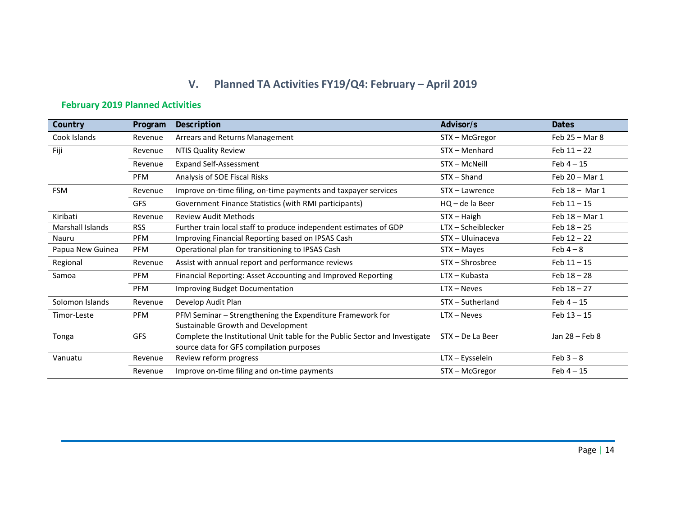# **V. Planned TA Activities FY19/Q4: February – April 2019**

## **February 2019 Planned Activities**

| Country                 | Program    | Description                                                                 | Advisor/s          | <b>Dates</b>     |
|-------------------------|------------|-----------------------------------------------------------------------------|--------------------|------------------|
| Cook Islands            | Revenue    | Arrears and Returns Management                                              | STX - McGregor     | Feb $25 -$ Mar 8 |
| Fiji                    | Revenue    | <b>NTIS Quality Review</b>                                                  | STX - Menhard      | Feb $11 - 22$    |
|                         | Revenue    | <b>Expand Self-Assessment</b>                                               | STX - McNeill      | $Feb 4 - 15$     |
|                         | <b>PFM</b> | Analysis of SOE Fiscal Risks                                                | $STX - Shand$      | Feb 20 - Mar 1   |
| <b>FSM</b>              | Revenue    | Improve on-time filing, on-time payments and taxpayer services              | STX - Lawrence     | Feb 18 - Mar 1   |
|                         | <b>GFS</b> | Government Finance Statistics (with RMI participants)                       | $HQ - de la Beer$  | $Feb 11 - 15$    |
| Kiribati                | Revenue    | <b>Review Audit Methods</b>                                                 | STX – Haigh        | Feb 18 - Mar 1   |
| <b>Marshall Islands</b> | <b>RSS</b> | Further train local staff to produce independent estimates of GDP           | LTX - Scheiblecker | $Feb 18 - 25$    |
| Nauru                   | <b>PFM</b> | Improving Financial Reporting based on IPSAS Cash                           | STX - Uluinaceva   | Feb $12 - 22$    |
| Papua New Guinea        | <b>PFM</b> | Operational plan for transitioning to IPSAS Cash                            | STX – Mayes        | Feb $4-8$        |
| Regional                | Revenue    | Assist with annual report and performance reviews                           | STX-Shrosbree      | $Feb 11 - 15$    |
| Samoa                   | <b>PFM</b> | Financial Reporting: Asset Accounting and Improved Reporting                | $LTX - Kubasta$    | Feb $18 - 28$    |
|                         | <b>PFM</b> | <b>Improving Budget Documentation</b>                                       | $LTX - Neves$      | Feb $18 - 27$    |
| Solomon Islands         | Revenue    | Develop Audit Plan                                                          | STX-Sutherland     | Feb $4-15$       |
| Timor-Leste             | <b>PFM</b> | PFM Seminar - Strengthening the Expenditure Framework for                   | $LTX - Neves$      | $Feb 13 - 15$    |
|                         |            | Sustainable Growth and Development                                          |                    |                  |
| Tonga                   | <b>GFS</b> | Complete the Institutional Unit table for the Public Sector and Investigate | STX - De La Beer   | Jan 28 - Feb 8   |
|                         |            | source data for GFS compilation purposes                                    |                    |                  |
| Vanuatu                 | Revenue    | Review reform progress                                                      | LTX - Eysselein    | $Feb 3 - 8$      |
|                         | Revenue    | Improve on-time filing and on-time payments                                 | STX - McGregor     | Feb $4 - 15$     |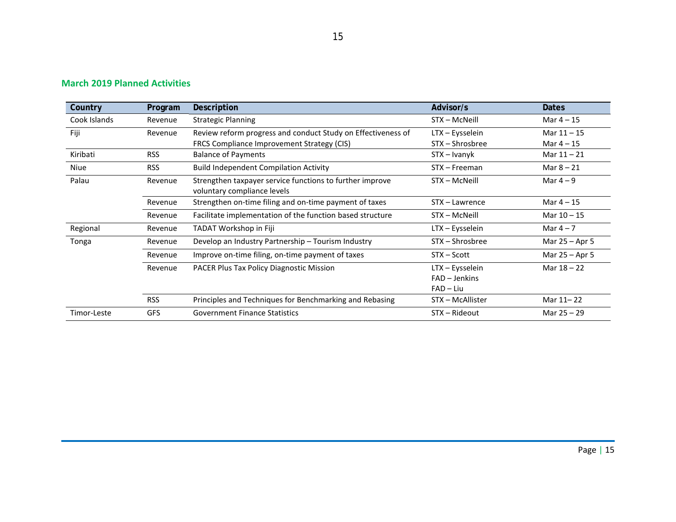#### **March 2019 Planned Activities**

| Country      | Program    | <b>Description</b>                                                                      | Advisor/s        | <b>Dates</b>   |
|--------------|------------|-----------------------------------------------------------------------------------------|------------------|----------------|
| Cook Islands | Revenue    | <b>Strategic Planning</b>                                                               | STX - McNeill    | Mar $4-15$     |
| Fiji         | Revenue    | Review reform progress and conduct Study on Effectiveness of                            | LTX - Eysselein  | Mar $11 - 15$  |
|              |            | FRCS Compliance Improvement Strategy (CIS)                                              | STX – Shrosbree  | Mar $4 - 15$   |
| Kiribati     | <b>RSS</b> | <b>Balance of Payments</b>                                                              | STX - Ivanyk     | Mar $11 - 21$  |
| <b>Niue</b>  | <b>RSS</b> | <b>Build Independent Compilation Activity</b>                                           | STX - Freeman    | Mar $8 - 21$   |
| Palau        | Revenue    | Strengthen taxpayer service functions to further improve<br>voluntary compliance levels | STX - McNeill    | Mar $4-9$      |
|              | Revenue    | Strengthen on-time filing and on-time payment of taxes                                  | STX – Lawrence   | Mar $4 - 15$   |
|              | Revenue    | Facilitate implementation of the function based structure                               | STX – McNeill    | Mar $10 - 15$  |
| Regional     | Revenue    | TADAT Workshop in Fiji                                                                  | LTX - Eysselein  | Mar $4-7$      |
| Tonga        | Revenue    | Develop an Industry Partnership - Tourism Industry                                      | STX - Shrosbree  | Mar 25 - Apr 5 |
|              | Revenue    | Improve on-time filing, on-time payment of taxes                                        | $STX - Scott$    | Mar 25 - Apr 5 |
|              | Revenue    | PACER Plus Tax Policy Diagnostic Mission                                                | LTX - Eysselein  | Mar $18 - 22$  |
|              |            |                                                                                         | $FAD - Jenkins$  |                |
|              |            |                                                                                         | $FAD - Liu$      |                |
|              | <b>RSS</b> | Principles and Techniques for Benchmarking and Rebasing                                 | STX - McAllister | Mar 11-22      |
| Timor-Leste  | <b>GFS</b> | <b>Government Finance Statistics</b>                                                    | STX - Rideout    | Mar $25 - 29$  |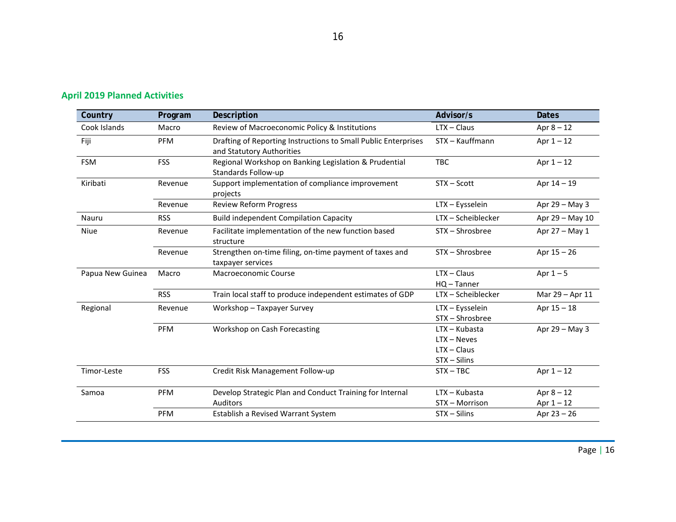| Country          | Program    | Description                                                                                 | Advisor/s                                                         | <b>Dates</b>                 |
|------------------|------------|---------------------------------------------------------------------------------------------|-------------------------------------------------------------------|------------------------------|
| Cook Islands     | Macro      | Review of Macroeconomic Policy & Institutions                                               | $LTX - Claus$                                                     | Apr $8 - 12$                 |
| Fiji             | <b>PFM</b> | Drafting of Reporting Instructions to Small Public Enterprises<br>and Statutory Authorities | STX - Kauffmann                                                   | Apr $1 - 12$                 |
| <b>FSM</b>       | <b>FSS</b> | Regional Workshop on Banking Legislation & Prudential<br>Standards Follow-up                | <b>TBC</b>                                                        | Apr $1 - 12$                 |
| Kiribati         | Revenue    | Support implementation of compliance improvement<br>projects                                | $STX - Scott$                                                     | Apr 14 - 19                  |
|                  | Revenue    | <b>Review Reform Progress</b>                                                               | LTX - Eysselein                                                   | Apr 29 - May 3               |
| Nauru            | <b>RSS</b> | <b>Build independent Compilation Capacity</b>                                               | LTX-Scheiblecker                                                  | Apr 29 - May 10              |
| Niue             | Revenue    | Facilitate implementation of the new function based<br>structure                            | STX-Shrosbree                                                     | Apr $27 -$ May 1             |
|                  | Revenue    | Strengthen on-time filing, on-time payment of taxes and<br>taxpayer services                | STX - Shrosbree                                                   | Apr $15 - 26$                |
| Papua New Guinea | Macro      | Macroeconomic Course                                                                        | $LTX - Claus$<br>HQ-Tanner                                        | Apr $1-5$                    |
|                  | <b>RSS</b> | Train local staff to produce independent estimates of GDP                                   | LTX - Scheiblecker                                                | Mar 29 - Apr 11              |
| Regional         | Revenue    | Workshop - Taxpayer Survey                                                                  | LTX - Eysselein<br>STX - Shrosbree                                | Apr $15 - 18$                |
|                  | PFM        | Workshop on Cash Forecasting                                                                | $LTX - Kubasta$<br>$LTX - Neves$<br>$LTX - Claus$<br>STX - Silins | Apr 29 - May 3               |
| Timor-Leste      | <b>FSS</b> | Credit Risk Management Follow-up                                                            | $STX - TBC$                                                       | Apr $1 - 12$                 |
| Samoa            | PFM        | Develop Strategic Plan and Conduct Training for Internal<br>Auditors                        | $LTX - Kubasta$<br>STX - Morrison                                 | Apr $8 - 12$<br>Apr $1 - 12$ |
|                  | PFM        | Establish a Revised Warrant System                                                          | STX - Silins                                                      | Apr 23 - 26                  |

## **April 2019 Planned Activities**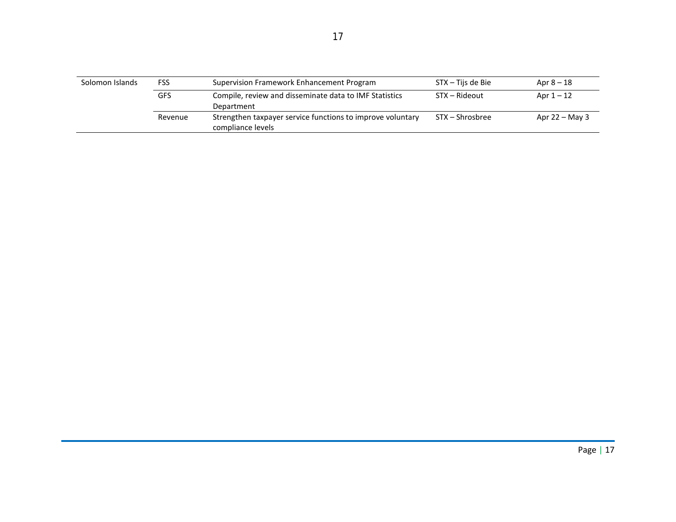| Solomon Islands | <b>FSS</b> | Supervision Framework Enhancement Program                                       | STX – Tijs de Bie | Apr $8-18$       |
|-----------------|------------|---------------------------------------------------------------------------------|-------------------|------------------|
|                 | GFS        | Compile, review and disseminate data to IMF Statistics<br>Department            | STX – Rideout     | Apr $1-12$       |
|                 | Revenue    | Strengthen taxpayer service functions to improve voluntary<br>compliance levels | STX – Shrosbree   | Apr $22 -$ May 3 |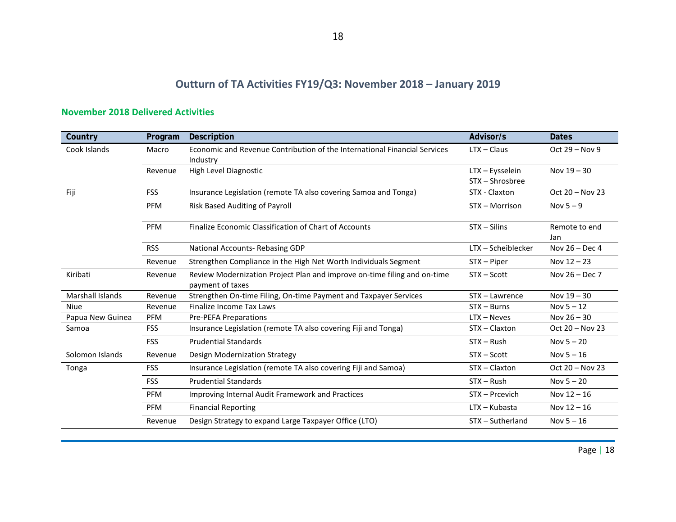## **Outturn of TA Activities FY19/Q3: November 2018 – January 2019**

| Country                 | Program    | Description                                                                                  | Advisor/s                          | <b>Dates</b>         |
|-------------------------|------------|----------------------------------------------------------------------------------------------|------------------------------------|----------------------|
| Cook Islands            | Macro      | Economic and Revenue Contribution of the International Financial Services<br>Industry        | $LTX - Claus$                      | Oct $29 - Nov 9$     |
|                         | Revenue    | High Level Diagnostic                                                                        | LTX - Eysselein<br>STX - Shrosbree | Nov 19 - 30          |
| Fiji                    | <b>FSS</b> | Insurance Legislation (remote TA also covering Samoa and Tonga)                              | STX - Claxton                      | Oct 20 - Nov 23      |
|                         | <b>PFM</b> | Risk Based Auditing of Payroll                                                               | STX - Morrison                     | Nov $5 - 9$          |
|                         | <b>PFM</b> | Finalize Economic Classification of Chart of Accounts                                        | $STX - S$ ilins                    | Remote to end<br>Jan |
|                         | <b>RSS</b> | National Accounts-Rebasing GDP                                                               | LTX - Scheiblecker                 | Nov $26 - Dec 4$     |
|                         | Revenue    | Strengthen Compliance in the High Net Worth Individuals Segment                              | $STX - Piper$                      | Nov $12 - 23$        |
| Kiribati                | Revenue    | Review Modernization Project Plan and improve on-time filing and on-time<br>payment of taxes | $STX - Scott$                      | Nov $26 - Dec 7$     |
| <b>Marshall Islands</b> | Revenue    | Strengthen On-time Filing, On-time Payment and Taxpayer Services                             | STX - Lawrence                     | Nov $19 - 30$        |
| Niue                    | Revenue    | Finalize Income Tax Laws                                                                     | $STX - Burns$                      | Nov $5 - 12$         |
| Papua New Guinea        | <b>PFM</b> | <b>Pre-PEFA Preparations</b>                                                                 | $LTX - Neves$                      | Nov $26 - 30$        |
| Samoa                   | <b>FSS</b> | Insurance Legislation (remote TA also covering Fiji and Tonga)                               | STX-Claxton                        | Oct 20 - Nov 23      |
|                         | <b>FSS</b> | <b>Prudential Standards</b>                                                                  | $STX - Rush$                       | Nov $5 - 20$         |
| Solomon Islands         | Revenue    | Design Modernization Strategy                                                                | $STX - Scott$                      | Nov $5 - 16$         |
| Tonga                   | <b>FSS</b> | Insurance Legislation (remote TA also covering Fiji and Samoa)                               | STX-Claxton                        | Oct 20 - Nov 23      |
|                         | <b>FSS</b> | <b>Prudential Standards</b>                                                                  | $STX - Rush$                       | Nov $5 - 20$         |
|                         | <b>PFM</b> | Improving Internal Audit Framework and Practices                                             | STX - Prcevich                     | Nov $12 - 16$        |
|                         | <b>PFM</b> | <b>Financial Reporting</b>                                                                   | $LTX - Kubasta$                    | Nov $12 - 16$        |
|                         | Revenue    | Design Strategy to expand Large Taxpayer Office (LTO)                                        | STX - Sutherland                   | Nov $5 - 16$         |

#### **November 2018 Delivered Activities**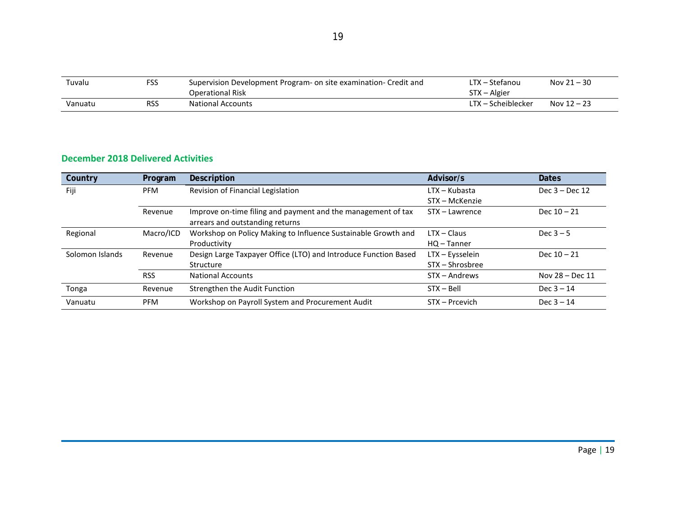| Tuvalu  | <b>FSS</b> | Supervision Development Program- on site examination- Credit and | LTX – Stefanou     | Nov $21 - 30$ |
|---------|------------|------------------------------------------------------------------|--------------------|---------------|
|         |            | Operational Risk                                                 | STX - Algier       |               |
| Vanuatu | <b>RSS</b> | <b>National Accounts</b>                                         | LTX – Scheiblecker | Nov $12 - 23$ |

#### **December 2018 Delivered Activities**

| Country         | Program    | Description                                                     | Advisor/s       | <b>Dates</b>      |
|-----------------|------------|-----------------------------------------------------------------|-----------------|-------------------|
| Fiji            | <b>PFM</b> | Revision of Financial Legislation                               | $LTX - Kubasta$ | Dec $3 - Dec 12$  |
|                 |            |                                                                 | STX - McKenzie  |                   |
|                 | Revenue    | Improve on-time filing and payment and the management of tax    | STX - Lawrence  | Dec $10 - 21$     |
|                 |            | arrears and outstanding returns                                 |                 |                   |
| Regional        | Macro/ICD  | Workshop on Policy Making to Influence Sustainable Growth and   | $LTX - Claus$   | Dec $3-5$         |
|                 |            | Productivity                                                    | $HO - Tanner$   |                   |
| Solomon Islands | Revenue    | Design Large Taxpayer Office (LTO) and Introduce Function Based | LTX - Eysselein | Dec $10 - 21$     |
|                 |            | Structure                                                       | STX – Shrosbree |                   |
|                 | <b>RSS</b> | <b>National Accounts</b>                                        | STX - Andrews   | Nov $28 - Dec 11$ |
| Tonga           | Revenue    | Strengthen the Audit Function                                   | $STX - Bell$    | Dec $3 - 14$      |
| Vanuatu         | <b>PFM</b> | Workshop on Payroll System and Procurement Audit                | STX - Prcevich  | Dec $3 - 14$      |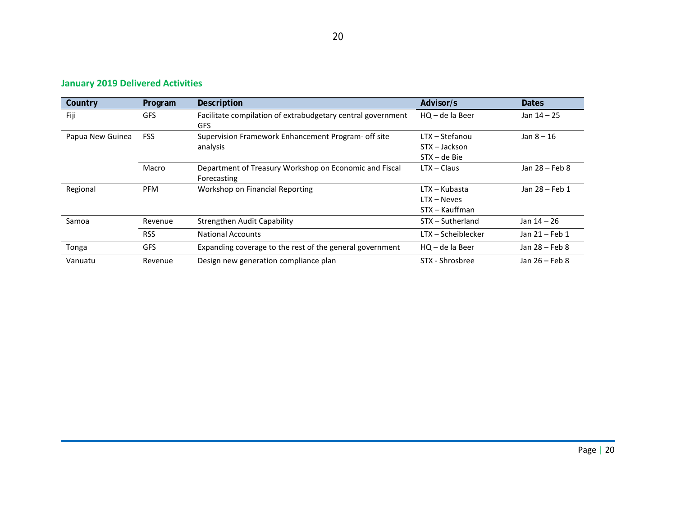#### **January 2019 Delivered Activities**

| Country          | Program    | Description                                                               | Advisor/s                                        | <b>Dates</b>   |
|------------------|------------|---------------------------------------------------------------------------|--------------------------------------------------|----------------|
| Fiji             | <b>GFS</b> | Facilitate compilation of extrabudgetary central government<br><b>GFS</b> | $HO - de$ la Beer                                | Jan $14 - 25$  |
| Papua New Guinea | <b>FSS</b> | Supervision Framework Enhancement Program- off site<br>analysis           | LTX - Stefanou<br>STX – Jackson<br>STX – de Bie  | Jan $8 - 16$   |
|                  | Macro      | Department of Treasury Workshop on Economic and Fiscal<br>Forecasting     | $LTX - Claus$                                    | Jan 28 - Feb 8 |
| Regional         | <b>PFM</b> | Workshop on Financial Reporting                                           | LTX – Kubasta<br>$LTX - Neves$<br>STX – Kauffman | Jan 28 - Feb 1 |
| Samoa            | Revenue    | Strengthen Audit Capability                                               | STX - Sutherland                                 | Jan $14 - 26$  |
|                  | <b>RSS</b> | <b>National Accounts</b>                                                  | LTX – Scheiblecker                               | Jan 21 - Feb 1 |
| Tonga            | <b>GFS</b> | Expanding coverage to the rest of the general government                  | $HO - de$ la Beer                                | Jan 28 – Feb 8 |
| Vanuatu          | Revenue    | Design new generation compliance plan                                     | STX - Shrosbree                                  | Jan 26 - Feb 8 |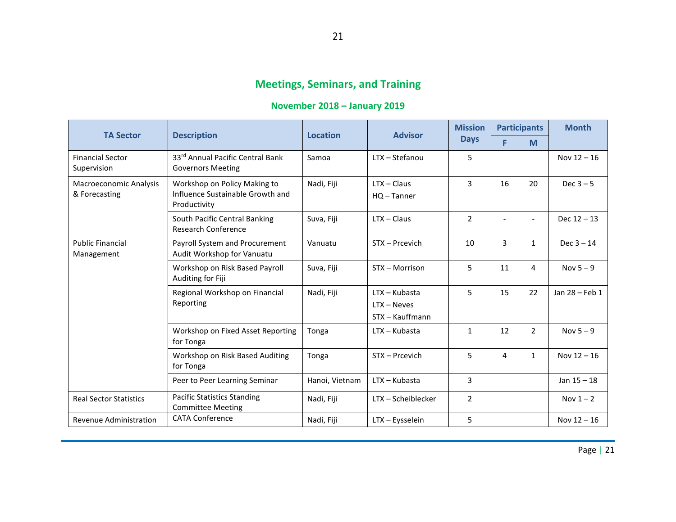# **Meetings, Seminars, and Training**

### **November 2018 – January 2019**

|                                         |                                                                                  |                |                                                   | <b>Mission</b> | <b>Participants</b> |                | <b>Month</b>   |
|-----------------------------------------|----------------------------------------------------------------------------------|----------------|---------------------------------------------------|----------------|---------------------|----------------|----------------|
| <b>TA Sector</b>                        | <b>Description</b>                                                               | Location       | <b>Advisor</b>                                    | <b>Days</b>    | F                   | M              |                |
| <b>Financial Sector</b><br>Supervision  | 33rd Annual Pacific Central Bank<br><b>Governors Meeting</b>                     | Samoa          | LTX - Stefanou                                    | 5              |                     |                | Nov $12 - 16$  |
| Macroeconomic Analysis<br>& Forecasting | Workshop on Policy Making to<br>Influence Sustainable Growth and<br>Productivity | Nadi, Fiji     | $LTX - Claus$<br>$HO - Tanner$                    | 3              | 16                  | 20             | Dec $3-5$      |
|                                         | South Pacific Central Banking<br><b>Research Conference</b>                      | Suva, Fiji     | $LTX - Claus$                                     | $\overline{2}$ |                     |                | Dec $12 - 13$  |
| <b>Public Financial</b><br>Management   | Payroll System and Procurement<br>Audit Workshop for Vanuatu                     | Vanuatu        | STX - Prcevich                                    | 10             | 3                   | $\mathbf{1}$   | $Dec 3 - 14$   |
|                                         | Workshop on Risk Based Payroll<br>Auditing for Fiji                              | Suva, Fiji     | STX - Morrison                                    | 5              | 11                  | 4              | Nov $5-9$      |
|                                         | Regional Workshop on Financial<br>Reporting                                      | Nadi, Fiji     | LTX - Kubasta<br>$LTX - Neves$<br>STX - Kauffmann | 5              | 15                  | 22             | Jan 28 - Feb 1 |
|                                         | Workshop on Fixed Asset Reporting<br>for Tonga                                   | Tonga          | $LTX - Kubasta$                                   | $\mathbf{1}$   | 12                  | $\overline{2}$ | Nov $5-9$      |
|                                         | Workshop on Risk Based Auditing<br>for Tonga                                     | Tonga          | STX - Prcevich                                    | 5              | 4                   | $\mathbf{1}$   | Nov $12 - 16$  |
|                                         | Peer to Peer Learning Seminar                                                    | Hanoi, Vietnam | $LTX - Kubasta$                                   | 3              |                     |                | Jan $15 - 18$  |
| <b>Real Sector Statistics</b>           | <b>Pacific Statistics Standing</b><br><b>Committee Meeting</b>                   | Nadi, Fiji     | LTX-Scheiblecker                                  | 2              |                     |                | Nov $1 - 2$    |
| Revenue Administration                  | <b>CATA Conference</b>                                                           | Nadi, Fiji     | LTX - Eysselein                                   | 5              |                     |                | Nov $12 - 16$  |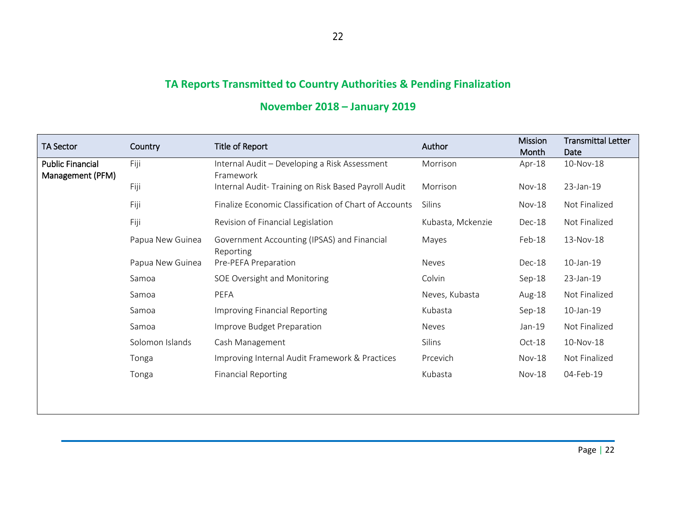# **TA Reports Transmitted to Country Authorities & Pending Finalization**

| <b>TA Sector</b>                            | Country          | Title of Report                                            | Author            | <b>Mission</b><br>Month | <b>Transmittal Letter</b><br>Date |
|---------------------------------------------|------------------|------------------------------------------------------------|-------------------|-------------------------|-----------------------------------|
| <b>Public Financial</b><br>Management (PFM) | Fiji             | Internal Audit - Developing a Risk Assessment<br>Framework | Morrison          | Apr-18                  | 10-Nov-18                         |
|                                             | Fiji             | Internal Audit- Training on Risk Based Payroll Audit       | Morrison          | $Nov-18$                | 23-Jan-19                         |
|                                             | Fiji             | Finalize Economic Classification of Chart of Accounts      | Silins            | $Nov-18$                | Not Finalized                     |
|                                             | Fiji             | Revision of Financial Legislation                          | Kubasta, Mckenzie | Dec-18                  | Not Finalized                     |
|                                             | Papua New Guinea | Government Accounting (IPSAS) and Financial<br>Reporting   | Mayes             | Feb-18                  | 13-Nov-18                         |
|                                             | Papua New Guinea | Pre-PEFA Preparation                                       | Neves             | Dec-18                  | 10-Jan-19                         |
|                                             | Samoa            | SOE Oversight and Monitoring                               | Colvin            | $Sep-18$                | 23-Jan-19                         |
|                                             | Samoa            | PEFA                                                       | Neves, Kubasta    | Aug-18                  | Not Finalized                     |
|                                             | Samoa            | Improving Financial Reporting                              | Kubasta           | $Sep-18$                | 10-Jan-19                         |
|                                             | Samoa            | Improve Budget Preparation                                 | Neves             | $Jan-19$                | Not Finalized                     |
|                                             | Solomon Islands  | Cash Management                                            | Silins            | $Oct-18$                | 10-Nov-18                         |
|                                             | Tonga            | Improving Internal Audit Framework & Practices             | Prcevich          | $Nov-18$                | Not Finalized                     |
|                                             | Tonga            | <b>Financial Reporting</b>                                 | Kubasta           | $Nov-18$                | 04-Feb-19                         |

# **November 2018 – January 2019**

Page | 22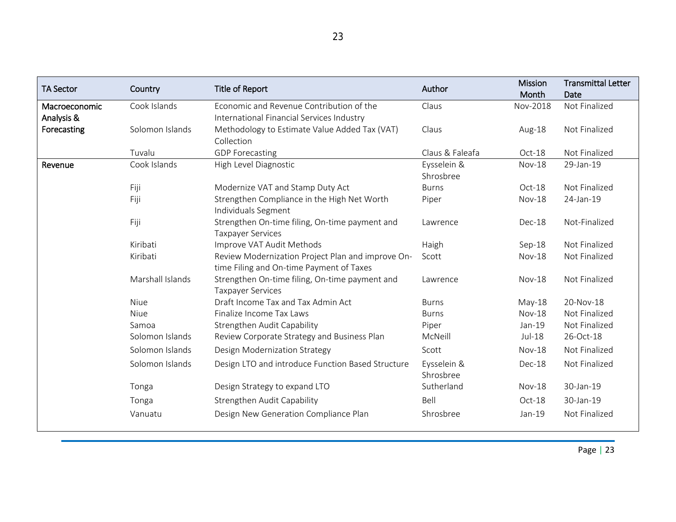| <b>TA Sector</b>            | Country          | Title of Report                                                                               | Author                   | <b>Mission</b><br>Month | <b>Transmittal Letter</b><br>Date |
|-----------------------------|------------------|-----------------------------------------------------------------------------------------------|--------------------------|-------------------------|-----------------------------------|
| Macroeconomic<br>Analysis & | Cook Islands     | Economic and Revenue Contribution of the<br>International Financial Services Industry         | Claus                    | Nov-2018                | Not Finalized                     |
| Forecasting                 | Solomon Islands  | Methodology to Estimate Value Added Tax (VAT)<br>Collection                                   | Claus                    | Aug-18                  | Not Finalized                     |
|                             | Tuvalu           | <b>GDP</b> Forecasting                                                                        | Claus & Faleafa          | Oct-18                  | Not Finalized                     |
| Revenue                     | Cook Islands     | High Level Diagnostic                                                                         | Eysselein &<br>Shrosbree | <b>Nov-18</b>           | 29-Jan-19                         |
|                             | Fiji             | Modernize VAT and Stamp Duty Act                                                              | <b>Burns</b>             | Oct-18                  | Not Finalized                     |
|                             | Fiji             | Strengthen Compliance in the High Net Worth<br>Individuals Segment                            | Piper                    | <b>Nov-18</b>           | 24-Jan-19                         |
|                             | Fiji             | Strengthen On-time filing, On-time payment and<br><b>Taxpayer Services</b>                    | Lawrence                 | Dec-18                  | Not-Finalized                     |
|                             | Kiribati         | Improve VAT Audit Methods                                                                     | Haigh                    | $Sep-18$                | Not Finalized                     |
|                             | Kiribati         | Review Modernization Project Plan and improve On-<br>time Filing and On-time Payment of Taxes | Scott                    | <b>Nov-18</b>           | Not Finalized                     |
|                             | Marshall Islands | Strengthen On-time filing, On-time payment and<br><b>Taxpayer Services</b>                    | Lawrence                 | $Nov-18$                | Not Finalized                     |
|                             | <b>Niue</b>      | Draft Income Tax and Tax Admin Act                                                            | <b>Burns</b>             | May-18                  | 20-Nov-18                         |
|                             | <b>Niue</b>      | Finalize Income Tax Laws                                                                      | <b>Burns</b>             | <b>Nov-18</b>           | Not Finalized                     |
|                             | Samoa            | Strengthen Audit Capability                                                                   | Piper                    | Jan-19                  | Not Finalized                     |
|                             | Solomon Islands  | Review Corporate Strategy and Business Plan                                                   | McNeill                  | $Jul-18$                | 26-Oct-18                         |
|                             | Solomon Islands  | Design Modernization Strategy                                                                 | Scott                    | $Nov-18$                | Not Finalized                     |
|                             | Solomon Islands  | Design LTO and introduce Function Based Structure                                             | Eysselein &<br>Shrosbree | Dec-18                  | Not Finalized                     |
|                             | Tonga            | Design Strategy to expand LTO                                                                 | Sutherland               | <b>Nov-18</b>           | 30-Jan-19                         |
|                             | Tonga            | Strengthen Audit Capability                                                                   | Bell                     | Oct-18                  | 30-Jan-19                         |
|                             | Vanuatu          | Design New Generation Compliance Plan                                                         | Shrosbree                | Jan-19                  | Not Finalized                     |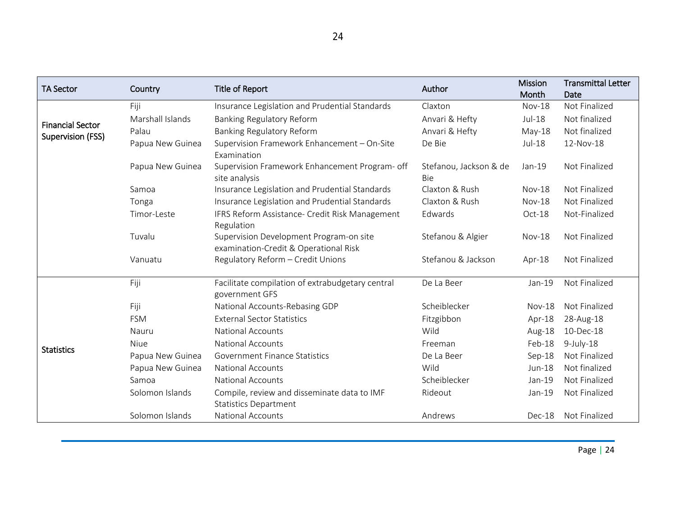| <b>TA Sector</b>                             | Country          | Title of Report                                                                  | Author                               | <b>Mission</b><br>Month | <b>Transmittal Letter</b><br>Date |
|----------------------------------------------|------------------|----------------------------------------------------------------------------------|--------------------------------------|-------------------------|-----------------------------------|
| <b>Financial Sector</b><br>Supervision (FSS) | Fiji             | Insurance Legislation and Prudential Standards                                   | Claxton                              | <b>Nov-18</b>           | Not Finalized                     |
|                                              | Marshall Islands | Banking Regulatory Reform                                                        | Anvari & Hefty                       | $Jul-18$                | Not finalized                     |
|                                              | Palau            | <b>Banking Regulatory Reform</b>                                                 | Anvari & Hefty                       | $May-18$                | Not finalized                     |
|                                              | Papua New Guinea | Supervision Framework Enhancement - On-Site<br>Examination                       | De Bie                               | $Jul-18$                | 12-Nov-18                         |
|                                              | Papua New Guinea | Supervision Framework Enhancement Program- off<br>site analysis                  | Stefanou, Jackson & de<br><b>Bie</b> | Jan-19                  | Not Finalized                     |
|                                              | Samoa            | Insurance Legislation and Prudential Standards                                   | Claxton & Rush                       | $Nov-18$                | Not Finalized                     |
|                                              | Tonga            | Insurance Legislation and Prudential Standards                                   | Claxton & Rush                       | <b>Nov-18</b>           | Not Finalized                     |
|                                              | Timor-Leste      | IFRS Reform Assistance- Credit Risk Management<br>Regulation                     | Edwards                              | Oct-18                  | Not-Finalized                     |
|                                              | Tuvalu           | Supervision Development Program-on site<br>examination-Credit & Operational Risk | Stefanou & Algier                    | <b>Nov-18</b>           | Not Finalized                     |
|                                              | Vanuatu          | Regulatory Reform - Credit Unions                                                | Stefanou & Jackson                   | Apr-18                  | Not Finalized                     |
| <b>Statistics</b>                            | Fiji             | Facilitate compilation of extrabudgetary central<br>government GFS               | De La Beer                           | Jan-19                  | Not Finalized                     |
|                                              | Fiji             | National Accounts-Rebasing GDP                                                   | Scheiblecker                         | $Nov-18$                | Not Finalized                     |
|                                              | <b>FSM</b>       | <b>External Sector Statistics</b>                                                | Fitzgibbon                           | Apr-18                  | 28-Aug-18                         |
|                                              | Nauru            | <b>National Accounts</b>                                                         | Wild                                 | Aug-18                  | 10-Dec-18                         |
|                                              | <b>Niue</b>      | <b>National Accounts</b>                                                         | Freeman                              | Feb-18                  | $9$ -July-18                      |
|                                              | Papua New Guinea | Government Finance Statistics                                                    | De La Beer                           | Sep-18                  | Not Finalized                     |
|                                              | Papua New Guinea | <b>National Accounts</b>                                                         | Wild                                 | Jun-18                  | Not finalized                     |
|                                              | Samoa            | <b>National Accounts</b>                                                         | Scheiblecker                         | Jan-19                  | Not Finalized                     |
|                                              | Solomon Islands  | Compile, review and disseminate data to IMF                                      | Rideout                              | Jan-19                  | Not Finalized                     |
|                                              |                  | <b>Statistics Department</b>                                                     |                                      |                         |                                   |
|                                              | Solomon Islands  | <b>National Accounts</b>                                                         | Andrews                              | Dec-18                  | Not Finalized                     |